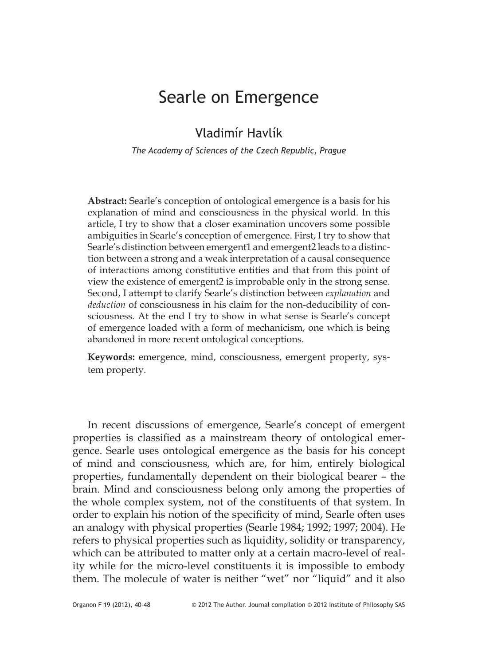## Searle on Emergence

## Vladimír Havlík

*The Academy of Sciences of the Czech Republic, Prague*

**Abstract:** Searle's conception of ontological emergence is a basis for his explanation of mind and consciousness in the physical world. In this article, I try to show that a closer examination uncovers some possible ambiguities in Searle's conception of emergence. First, I try to show that Searle's distinction between emergent1 and emergent2 leads to a distinction between a strong and a weak interpretation of a causal consequence of interactions among constitutive entities and that from this point of view the existence of emergent2 is improbable only in the strong sense. Second, I attempt to clarify Searle's distinction between *explanation* and *deduction* of consciousness in his claim for the non-deducibility of consciousness. At the end I try to show in what sense is Searle's concept of emergence loaded with a form of mechanicism, one which is being abandoned in more recent ontological conceptions.

**Keywords:** emergence, mind, consciousness, emergent property, system property.

In recent discussions of emergence, Searle's concept of emergent properties is classified as a mainstream theory of ontological emergence. Searle uses ontological emergence as the basis for his concept of mind and consciousness, which are, for him, entirely biological properties, fundamentally dependent on their biological bearer – the brain. Mind and consciousness belong only among the properties of the whole complex system, not of the constituents of that system. In order to explain his notion of the specificity of mind, Searle often uses an analogy with physical properties (Searle 1984; 1992; 1997; 2004). He refers to physical properties such as liquidity, solidity or transparency, which can be attributed to matter only at a certain macro-level of reality while for the micro-level constituents it is impossible to embody them. The molecule of water is neither "wet" nor "liquid" and it also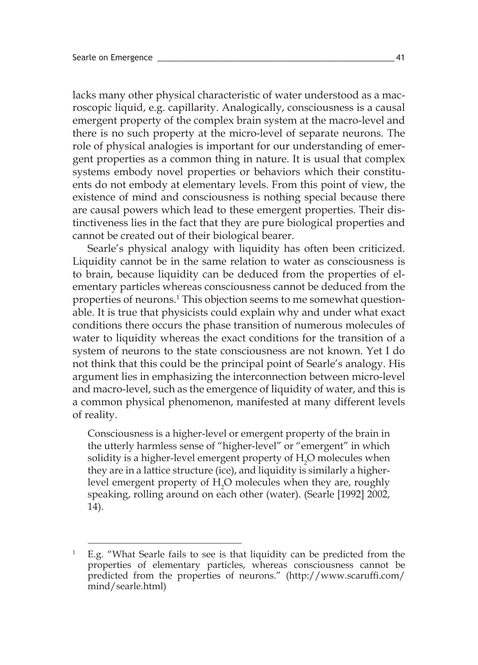lacks many other physical characteristic of water understood as a macroscopic liquid, e.g. capillarity. Analogically, consciousness is a causal emergent property of the complex brain system at the macro-level and there is no such property at the micro-level of separate neurons. The role of physical analogies is important for our understanding of emergent properties as a common thing in nature. It is usual that complex systems embody novel properties or behaviors which their constituents do not embody at elementary levels. From this point of view, the existence of mind and consciousness is nothing special because there are causal powers which lead to these emergent properties. Their distinctiveness lies in the fact that they are pure biological properties and cannot be created out of their biological bearer.

Searle's physical analogy with liquidity has often been criticized. Liquidity cannot be in the same relation to water as consciousness is to brain, because liquidity can be deduced from the properties of elementary particles whereas consciousness cannot be deduced from the properties of neurons. 1 This objection seems to me somewhat questionable. It is true that physicists could explain why and under what exact conditions there occurs the phase transition of numerous molecules of water to liquidity whereas the exact conditions for the transition of a system of neurons to the state consciousness are not known. Yet I do not think that this could be the principal point of Searle's analogy. His argument lies in emphasizing the interconnection between micro-level and macro-level, such as the emergence of liquidity of water, and this is a common physical phenomenon, manifested at many different levels of reality.

Consciousness is a higher-level or emergent property of the brain in the utterly harmless sense of "higher-level" or "emergent" in which solidity is a higher-level emergent property of  $\rm{H}_{2}O$  molecules when they are in a lattice structure (ice), and liquidity is similarly a higherlevel emergent property of  $H_2O$  molecules when they are, roughly speaking, rolling around on each other (water). (Searle [1992] 2002, 14).

<sup>&</sup>lt;sup>1</sup> E.g. "What Searle fails to see is that liquidity can be predicted from the properties of elementary particles, whereas consciousness cannot be predicted from the properties of neurons." (http://www.scaruffi.com/ mind/searle.html)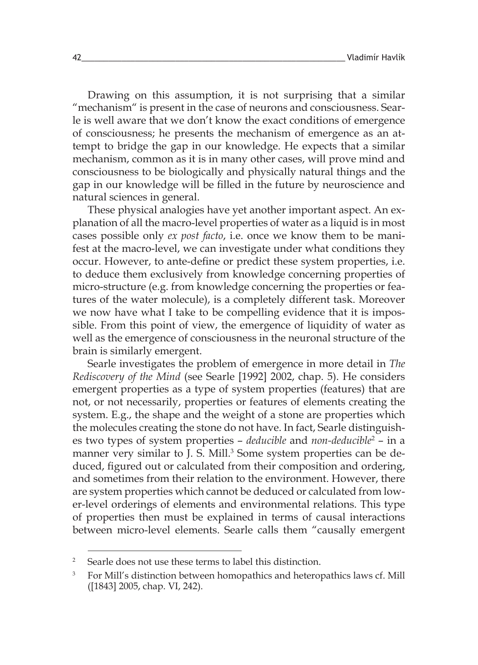Drawing on this assumption, it is not surprising that a similar "mechanism" is present in the case of neurons and consciousness. Searle is well aware that we don't know the exact conditions of emergence of consciousness; he presents the mechanism of emergence as an attempt to bridge the gap in our knowledge. He expects that a similar mechanism, common as it is in many other cases, will prove mind and consciousness to be biologically and physically natural things and the gap in our knowledge will be filled in the future by neuroscience and natural sciences in general.

These physical analogies have yet another important aspect. An explanation of all the macro-level properties of water as a liquid is in most cases possible only *ex post facto*, i.e. once we know them to be manifest at the macro-level, we can investigate under what conditions they occur. However, to ante-define or predict these system properties, i.e. to deduce them exclusively from knowledge concerning properties of micro-structure (e.g. from knowledge concerning the properties or features of the water molecule), is a completely different task. Moreover we now have what I take to be compelling evidence that it is impossible. From this point of view, the emergence of liquidity of water as well as the emergence of consciousness in the neuronal structure of the brain is similarly emergent.

Searle investigates the problem of emergence in more detail in *The Rediscovery of the Mind* (see Searle [1992] 2002, chap. 5). He considers emergent properties as a type of system properties (features) that are not, or not necessarily, properties or features of elements creating the system. E.g., the shape and the weight of a stone are properties which the molecules creating the stone do not have. In fact, Searle distinguishes two types of system properties – *deducible* and *non-deducible*<sup>2</sup> – in a manner very similar to J. S. Mill. 3 Some system properties can be deduced, figured out or calculated from their composition and ordering, and sometimes from their relation to the environment. However, there are system properties which cannot be deduced or calculated from lower-level orderings of elements and environmental relations. This type of properties then must be explained in terms of causal interactions between micro-level elements. Searle calls them "causally emergent

<sup>2</sup> Searle does not use these terms to label this distinction.

<sup>&</sup>lt;sup>3</sup> For Mill's distinction between homopathics and heteropathics laws cf. Mill ([1843] 2005, chap. VI, 242).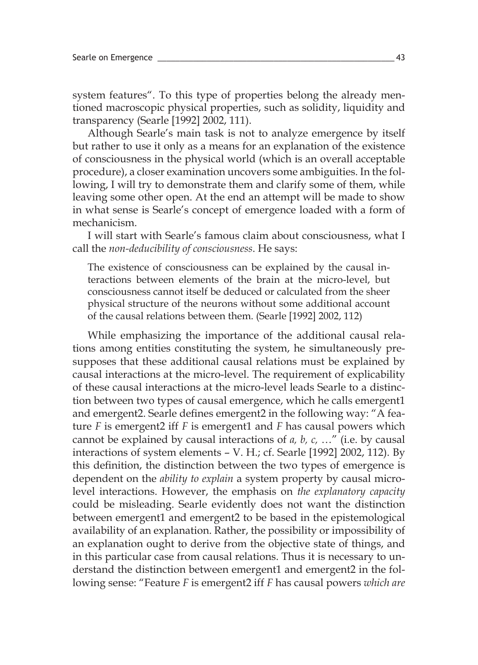system features". To this type of properties belong the already mentioned macroscopic physical properties, such as solidity, liquidity and transparency (Searle [1992] 2002, 111).

Although Searle's main task is not to analyze emergence by itself but rather to use it only as a means for an explanation of the existence of consciousness in the physical world (which is an overall acceptable procedure), a closer examination uncovers some ambiguities. In the following, I will try to demonstrate them and clarify some of them, while leaving some other open. At the end an attempt will be made to show in what sense is Searle's concept of emergence loaded with a form of mechanicism.

I will start with Searle's famous claim about consciousness, what I call the *non-deducibility of consciousness*. He says:

The existence of consciousness can be explained by the causal interactions between elements of the brain at the micro-level, but consciousness cannot itself be deduced or calculated from the sheer physical structure of the neurons without some additional account of the causal relations between them. (Searle [1992] 2002, 112)

While emphasizing the importance of the additional causal relations among entities constituting the system, he simultaneously presupposes that these additional causal relations must be explained by causal interactions at the micro-level. The requirement of explicability of these causal interactions at the micro-level leads Searle to a distinction between two types of causal emergence, which he calls emergent1 and emergent2. Searle defines emergent2 in the following way: "A feature *F* is emergent2 iff *F* is emergent1 and *F* has causal powers which cannot be explained by causal interactions of *a, b, c,* …" (i.e. by causal interactions of system elements – V. H.; cf. Searle [1992] 2002, 112). By this definition, the distinction between the two types of emergence is dependent on the *ability to explain* a system property by causal microlevel interactions. However, the emphasis on *the explanatory capacity* could be misleading. Searle evidently does not want the distinction between emergent1 and emergent2 to be based in the epistemological availability of an explanation. Rather, the possibility or impossibility of an explanation ought to derive from the objective state of things, and in this particular case from causal relations. Thus it is necessary to understand the distinction between emergent1 and emergent2 in the following sense: "Feature *F* is emergent2 iff *F* has causal powers *which are*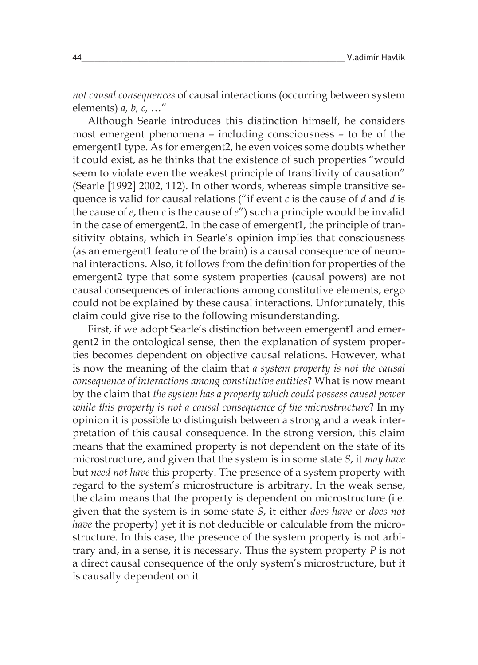*not causal consequences* of causal interactions (occurring between system elements) *a, b, c,* …"

Although Searle introduces this distinction himself, he considers most emergent phenomena – including consciousness – to be of the emergent1 type. As for emergent2, he even voices some doubts whether it could exist, as he thinks that the existence of such properties "would seem to violate even the weakest principle of transitivity of causation" (Searle [1992] 2002, 112). In other words, whereas simple transitive sequence is valid for causal relations ("if event *c* is the cause of *d* and *d* is the cause of *e*, then *c* is the cause of *e*") such a principle would be invalid in the case of emergent2. In the case of emergent1, the principle of transitivity obtains, which in Searle's opinion implies that consciousness (as an emergent1 feature of the brain) is a causal consequence of neuronal interactions. Also, it follows from the definition for properties of the emergent2 type that some system properties (causal powers) are not causal consequences of interactions among constitutive elements, ergo could not be explained by these causal interactions. Unfortunately, this claim could give rise to the following misunderstanding.

First, if we adopt Searle's distinction between emergent1 and emergent2 in the ontological sense, then the explanation of system properties becomes dependent on objective causal relations. However, what is now the meaning of the claim that *a system property is not the causal consequence of interactions among constitutive entities*? What is now meant by the claim that *the system has a property which could possess causal power while this property is not a causal consequence of the microstructure*? In my opinion it is possible to distinguish between a strong and a weak interpretation of this causal consequence. In the strong version, this claim means that the examined property is not dependent on the state of its microstructure, and given that the system is in some state *S*, it *may have* but *need not have* this property. The presence of a system property with regard to the system's microstructure is arbitrary. In the weak sense, the claim means that the property is dependent on microstructure (i.e. given that the system is in some state *S*, it either *does have* or *does not have* the property) yet it is not deducible or calculable from the microstructure. In this case, the presence of the system property is not arbitrary and, in a sense, it is necessary. Thus the system property *P* is not a direct causal consequence of the only system's microstructure, but it is causally dependent on it.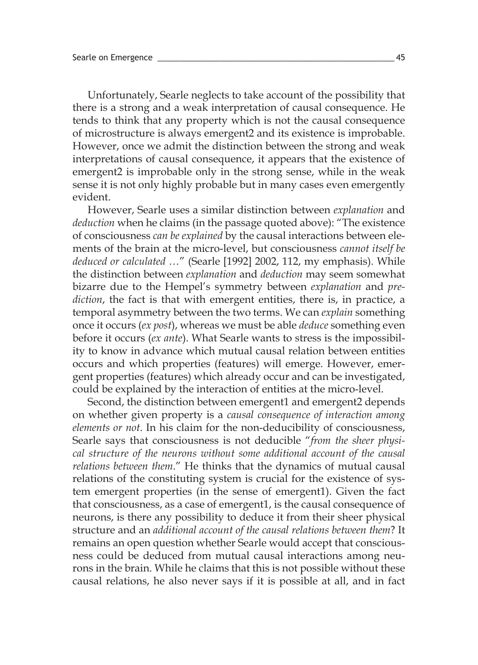Unfortunately, Searle neglects to take account of the possibility that there is a strong and a weak interpretation of causal consequence. He tends to think that any property which is not the causal consequence of microstructure is always emergent2 and its existence is improbable. However, once we admit the distinction between the strong and weak interpretations of causal consequence, it appears that the existence of emergent2 is improbable only in the strong sense, while in the weak sense it is not only highly probable but in many cases even emergently evident.

However, Searle uses a similar distinction between *explanation* and *deduction* when he claims (in the passage quoted above): "The existence of consciousness *can be explained* by the causal interactions between elements of the brain at the micro-level, but consciousness *cannot itself be deduced or calculated …*" (Searle [1992] 2002, 112, my emphasis). While the distinction between *explanation* and *deduction* may seem somewhat bizarre due to the Hempel's symmetry between *explanation* and *prediction*, the fact is that with emergent entities, there is, in practice, a temporal asymmetry between the two terms. We can *explain* something once it occurs (*ex post*), whereas we must be able *deduce* something even before it occurs (*ex ante*). What Searle wants to stress is the impossibility to know in advance which mutual causal relation between entities occurs and which properties (features) will emerge. However, emergent properties (features) which already occur and can be investigated, could be explained by the interaction of entities at the micro-level.

Second, the distinction between emergent1 and emergent2 depends on whether given property is a *causal consequence of interaction among elements or not*. In his claim for the non-deducibility of consciousness, Searle says that consciousness is not deducible "*from the sheer physical structure of the neurons without some additional account of the causal relations between them*." He thinks that the dynamics of mutual causal relations of the constituting system is crucial for the existence of system emergent properties (in the sense of emergent1). Given the fact that consciousness, as a case of emergent1, is the causal consequence of neurons, is there any possibility to deduce it from their sheer physical structure and an *additional account of the causal relations between them*? It remains an open question whether Searle would accept that consciousness could be deduced from mutual causal interactions among neurons in the brain. While he claims that this is not possible without these causal relations, he also never says if it is possible at all, and in fact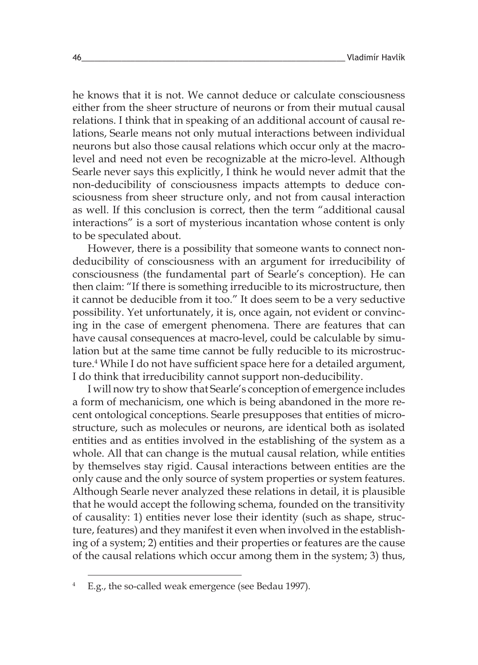he knows that it is not. We cannot deduce or calculate consciousness either from the sheer structure of neurons or from their mutual causal relations. I think that in speaking of an additional account of causal relations, Searle means not only mutual interactions between individual neurons but also those causal relations which occur only at the macrolevel and need not even be recognizable at the micro-level. Although Searle never says this explicitly, I think he would never admit that the non-deducibility of consciousness impacts attempts to deduce consciousness from sheer structure only, and not from causal interaction as well. If this conclusion is correct, then the term "additional causal interactions" is a sort of mysterious incantation whose content is only to be speculated about.

However, there is a possibility that someone wants to connect nondeducibility of consciousness with an argument for irreducibility of consciousness (the fundamental part of Searle's conception). He can then claim: "If there is something irreducible to its microstructure, then it cannot be deducible from it too." It does seem to be a very seductive possibility. Yet unfortunately, it is, once again, not evident or convincing in the case of emergent phenomena. There are features that can have causal consequences at macro-level, could be calculable by simulation but at the same time cannot be fully reducible to its microstructure. 4 While I do not have sufficient space here for a detailed argument, I do think that irreducibility cannot support non-deducibility.

I will now try to show that Searle's conception of emergence includes a form of mechanicism, one which is being abandoned in the more recent ontological conceptions. Searle presupposes that entities of microstructure, such as molecules or neurons, are identical both as isolated entities and as entities involved in the establishing of the system as a whole. All that can change is the mutual causal relation, while entities by themselves stay rigid. Causal interactions between entities are the only cause and the only source of system properties or system features. Although Searle never analyzed these relations in detail, it is plausible that he would accept the following schema, founded on the transitivity of causality: 1) entities never lose their identity (such as shape, structure, features) and they manifest it even when involved in the establishing of a system; 2) entities and their properties or features are the cause of the causal relations which occur among them in the system; 3) thus,

<sup>4</sup> E.g., the so-called weak emergence (see Bedau 1997).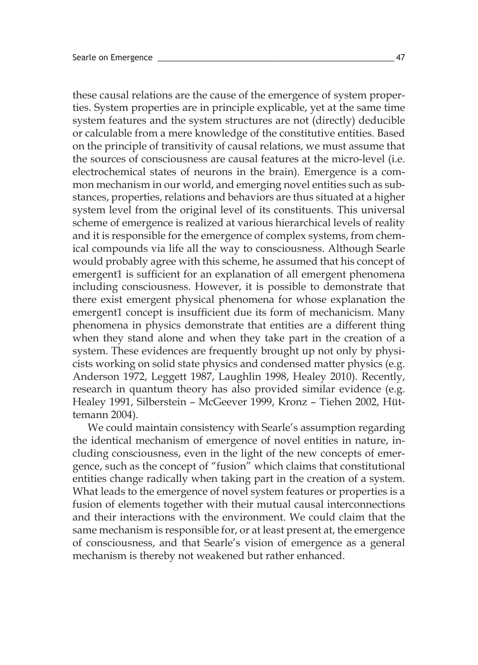these causal relations are the cause of the emergence of system properties. System properties are in principle explicable, yet at the same time system features and the system structures are not (directly) deducible or calculable from a mere knowledge of the constitutive entities. Based on the principle of transitivity of causal relations, we must assume that the sources of consciousness are causal features at the micro-level (i.e. electrochemical states of neurons in the brain). Emergence is a common mechanism in our world, and emerging novel entities such as substances, properties, relations and behaviors are thus situated at a higher system level from the original level of its constituents. This universal scheme of emergence is realized at various hierarchical levels of reality and it is responsible for the emergence of complex systems, from chemical compounds via life all the way to consciousness. Although Searle would probably agree with this scheme, he assumed that his concept of emergent1 is sufficient for an explanation of all emergent phenomena including consciousness. However, it is possible to demonstrate that there exist emergent physical phenomena for whose explanation the emergent1 concept is insufficient due its form of mechanicism. Many phenomena in physics demonstrate that entities are a different thing when they stand alone and when they take part in the creation of a system. These evidences are frequently brought up not only by physicists working on solid state physics and condensed matter physics (e.g. Anderson 1972, Leggett 1987, Laughlin 1998, Healey 2010). Recently, research in quantum theory has also provided similar evidence (e.g. Healey 1991, Silberstein – McGeever 1999, Kronz – Tiehen 2002, Hüttemann 2004).

We could maintain consistency with Searle's assumption regarding the identical mechanism of emergence of novel entities in nature, including consciousness, even in the light of the new concepts of emergence, such as the concept of "fusion" which claims that constitutional entities change radically when taking part in the creation of a system. What leads to the emergence of novel system features or properties is a fusion of elements together with their mutual causal interconnections and their interactions with the environment. We could claim that the same mechanism is responsible for, or at least present at, the emergence of consciousness, and that Searle's vision of emergence as a general mechanism is thereby not weakened but rather enhanced.